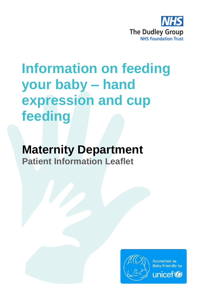

# **Information on feeding your baby – hand expression and cup feeding**

**Maternity Department Patient Information Leaflet**

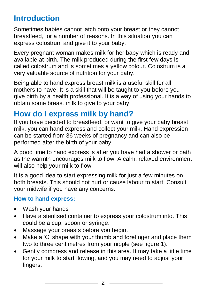# **Introduction**

Sometimes babies cannot latch onto your breast or they cannot breastfeed, for a number of reasons. In this situation you can express colostrum and give it to your baby.

Every pregnant woman makes milk for her baby which is ready and available at birth. The milk produced during the first few days is called colostrum and is sometimes a yellow colour. Colostrum is a very valuable source of nutrition for your baby.

Being able to hand express breast milk is a useful skill for all mothers to have. It is a skill that will be taught to you before you give birth by a health professional. It is a way of using your hands to obtain some breast milk to give to your baby.

## **How do I express milk by hand?**

If you have decided to breastfeed, or want to give your baby breast milk, you can hand express and collect your milk. Hand expression can be started from 36 weeks of pregnancy and can also be performed after the birth of your baby.

A good time to hand express is after you have had a shower or bath as the warmth encourages milk to flow. A calm, relaxed environment will also help your milk to flow.

It is a good idea to start expressing milk for just a few minutes on both breasts. This should not hurt or cause labour to start. Consult your midwife if you have any concerns.

#### **How to hand express:**

- Wash your hands
- Have a sterilised container to express your colostrum into. This could be a cup, spoon or syringe.
- Massage your breasts before you begin.
- Make a 'C' shape with your thumb and forefinger and place them two to three centimetres from your nipple (see figure 1).
- Gently compress and release in this area. It may take a little time for your milk to start flowing, and you may need to adjust your fingers.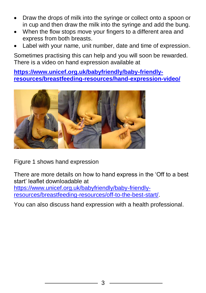- Draw the drops of milk into the syringe or collect onto a spoon or in cup and then draw the milk into the syringe and add the bung.
- When the flow stops move your fingers to a different area and express from both breasts.
- Label with your name, unit number, date and time of expression.

Sometimes practising this can help and you will soon be rewarded. There is a video on hand expression available at

**[https://www.unicef.org.uk/babyfriendly/baby-friendly](https://www.unicef.org.uk/babyfriendly/baby-friendly-resources/breastfeeding-resources/hand-expression-video/)[resources/breastfeeding-resources/hand-expression-video/](https://www.unicef.org.uk/babyfriendly/baby-friendly-resources/breastfeeding-resources/hand-expression-video/)**



Figure 1 shows hand expression

There are more details on how to hand express in the 'Off to a best start' leaflet downloadable at

[https://www.unicef.org.uk/babyfriendly/baby-friendly](https://www.unicef.org.uk/babyfriendly/baby-friendly-resources/breastfeeding-resources/off-to-the-best-start/)[resources/breastfeeding-resources/off-to-the-best-start/.](https://www.unicef.org.uk/babyfriendly/baby-friendly-resources/breastfeeding-resources/off-to-the-best-start/)

You can also discuss hand expression with a health professional.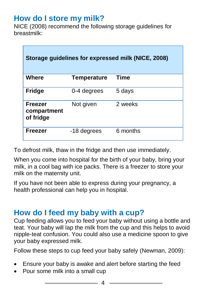## **How do I store my milk?**

NICE (2008) recommend the following storage guidelines for breastmilk:

| Storage guidelines for expressed milk (NICE, 2008) |                    |             |
|----------------------------------------------------|--------------------|-------------|
| <b>Where</b>                                       | <b>Temperature</b> | <b>Time</b> |
| <b>Fridge</b>                                      | 0-4 degrees        | 5 days      |
| Freezer<br>compartment<br>of fridge                | Not given          | 2 weeks     |
| <b>Freezer</b>                                     | -18 degrees        | 6 months    |

To defrost milk, thaw in the fridge and then use immediately.

When you come into hospital for the birth of your baby, bring your milk, in a cool bag with ice packs. There is a freezer to store your milk on the maternity unit.

If you have not been able to express during your pregnancy, a health professional can help you in hospital.

## **How do I feed my baby with a cup?**

Cup feeding allows you to feed your baby without using a bottle and teat. Your baby will lap the milk from the cup and this helps to avoid nipple-teat confusion. You could also use a medicine spoon to give your baby expressed milk.

Follow these steps to cup feed your baby safely (Newman, 2009):

- Ensure your baby is awake and alert before starting the feed
- Pour some milk into a small cup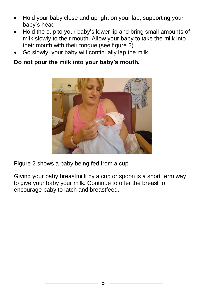- Hold your baby close and upright on your lap, supporting your baby's head
- Hold the cup to your baby's lower lip and bring small amounts of milk slowly to their mouth. Allow your baby to take the milk into their mouth with their tongue (see figure 2)
- Go slowly, your baby will continually lap the milk

#### **Do not pour the milk into your baby's mouth.**



Figure 2 shows a baby being fed from a cup

Giving your baby breastmilk by a cup or spoon is a short term way to give your baby your milk. Continue to offer the breast to encourage baby to latch and breastfeed.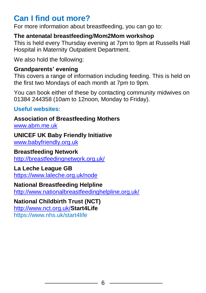## **Can I find out more?**

For more information about breastfeeding, you can go to:

### **The antenatal breastfeeding/Mom2Mom workshop**

This is held every Thursday evening at 7pm to 9pm at Russells Hall Hospital in Maternity Outpatient Department.

We also hold the following:

### **Grandparents' evening**

This covers a range of information including feeding. This is held on the first two Mondays of each month at 7pm to 9pm.

You can book either of these by contacting community midwives on 01384 244358 (10am to 12noon, Monday to Friday).

**Useful websites:**

## **Association of Breastfeeding Mothers**

[www.abm.me.uk](http://www.abm.me.uk/)

### **UNICEF UK Baby Friendly Initiative**

[www.babyfriendly.org.uk](http://www.babyfriendly.org.uk/)

#### **Breastfeeding Network**

<http://breastfeedingnetwork.org.uk/>

#### **La Leche League GB**

<https://www.laleche.org.uk/node>

#### **National Breastfeeding Helpline**

<http://www.nationalbreastfeedinghelpline.org.uk/>

#### **National Childbirth Trust (NCT)**

<http://www.nct.org.uk/>**Start4Life**

https://www.nhs.uk/start4life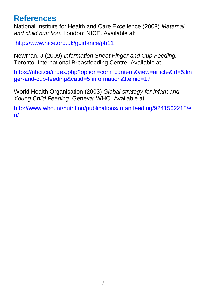## **References**

National Institute for Health and Care Excellence (2008) *Maternal and child nutrition*. London: NICE. Available at:

<http://www.nice.org.uk/guidance/ph11>

Newman, J (2009) *Information Sheet Finger and Cup Feeding.* Toronto: International Breastfeeding Centre. Available at:

[https://nbci.ca/index.php?option=com\\_content&view=article&id=5:fin](https://nbci.ca/index.php?option=com_content&view=article&id=5:finger-and-cup-feeding&catid=5:information&Itemid=17) [ger-and-cup-feeding&catid=5:information&Itemid=17](https://nbci.ca/index.php?option=com_content&view=article&id=5:finger-and-cup-feeding&catid=5:information&Itemid=17)

World Health Organisation (2003) *Global strategy for Infant and Young Child Feeding*. Geneva: WHO. Available at:

[http://www.who.int/nutrition/publications/infantfeeding/9241562218/e](http://www.who.int/nutrition/publications/infantfeeding/9241562218/en/) [n/](http://www.who.int/nutrition/publications/infantfeeding/9241562218/en/)